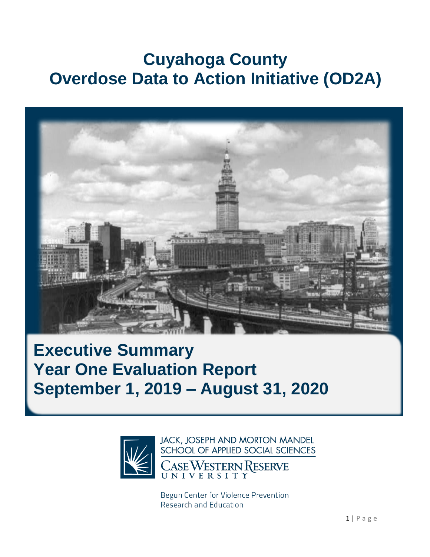# **Cuyahoga County Overdose Data to Action Initiative (OD2A)**



## **Executive Summary Year One Evaluation Report September 1, 2019 – August 31, 2020**



JACK, JOSEPH AND MORTON MANDEL SCHOOL OF APPLIED SOCIAL SCIENCES

CASEWESTERN RESERVE

Begun Center for Violence Prevention Research and Education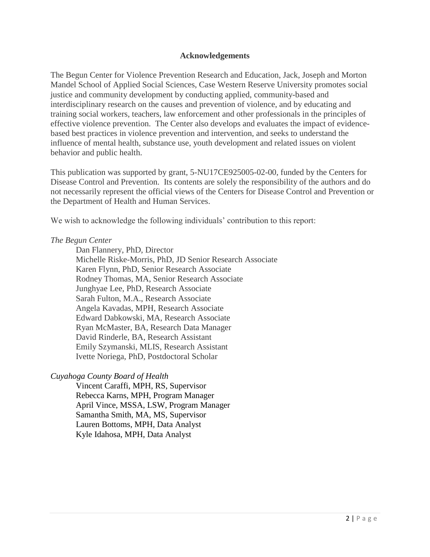#### **Acknowledgements**

The Begun Center for Violence Prevention Research and Education, Jack, Joseph and Morton Mandel School of Applied Social Sciences, Case Western Reserve University promotes social justice and community development by conducting applied, community-based and interdisciplinary research on the causes and prevention of violence, and by educating and training social workers, teachers, law enforcement and other professionals in the principles of effective violence prevention. The Center also develops and evaluates the impact of evidencebased best practices in violence prevention and intervention, and seeks to understand the influence of mental health, substance use, youth development and related issues on violent behavior and public health.

This publication was supported by grant, 5-NU17CE925005-02-00, funded by the Centers for Disease Control and Prevention. Its contents are solely the responsibility of the authors and do not necessarily represent the official views of the Centers for Disease Control and Prevention or the Department of Health and Human Services.

We wish to acknowledge the following individuals' contribution to this report:

#### *The Begun Center*

Dan Flannery, PhD, Director Michelle Riske-Morris, PhD, JD Senior Research Associate Karen Flynn, PhD, Senior Research Associate Rodney Thomas, MA, Senior Research Associate Junghyae Lee, PhD, Research Associate Sarah Fulton, M.A., Research Associate Angela Kavadas, MPH, Research Associate Edward Dabkowski, MA, Research Associate Ryan McMaster, BA, Research Data Manager David Rinderle, BA, Research Assistant Emily Szymanski, MLIS, Research Assistant Ivette Noriega, PhD, Postdoctoral Scholar

#### *Cuyahoga County Board of Health*

 Vincent Caraffi, MPH, RS, Supervisor Rebecca Karns, MPH, Program Manager April Vince, MSSA, LSW, Program Manager Samantha Smith, MA, MS, Supervisor Lauren Bottoms, MPH, Data Analyst Kyle Idahosa, MPH, Data Analyst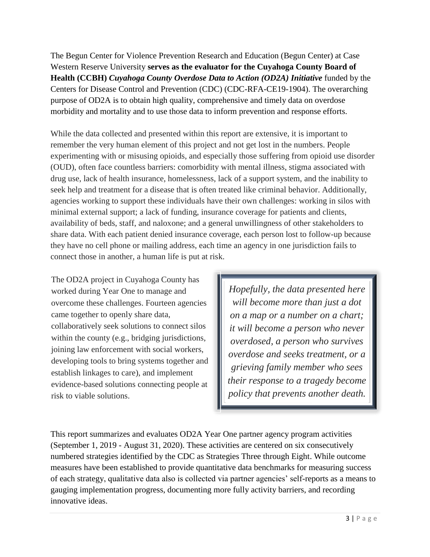The Begun Center for Violence Prevention Research and Education (Begun Center) at Case Western Reserve University **serves as the evaluator for the Cuyahoga County Board of Health (CCBH)** *Cuyahoga County Overdose Data to Action (OD2A) Initiative* funded by the Centers for Disease Control and Prevention (CDC) (CDC-RFA-CE19-1904). The overarching purpose of OD2A is to obtain high quality, comprehensive and timely data on overdose morbidity and mortality and to use those data to inform prevention and response efforts.

While the data collected and presented within this report are extensive, it is important to remember the very human element of this project and not get lost in the numbers. People experimenting with or misusing opioids, and especially those suffering from opioid use disorder (OUD), often face countless barriers: comorbidity with mental illness, stigma associated with drug use, lack of health insurance, homelessness, lack of a support system, and the inability to seek help and treatment for a disease that is often treated like criminal behavior. Additionally, agencies working to support these individuals have their own challenges: working in silos with minimal external support; a lack of funding, insurance coverage for patients and clients, availability of beds, staff, and naloxone; and a general unwillingness of other stakeholders to share data. With each patient denied insurance coverage, each person lost to follow-up because they have no cell phone or mailing address, each time an agency in one jurisdiction fails to connect those in another, a human life is put at risk.

The OD2A project in Cuyahoga County has worked during Year One to manage and overcome these challenges. Fourteen agencies came together to openly share data, collaboratively seek solutions to connect silos within the county (e.g., bridging jurisdictions, joining law enforcement with social workers, developing tools to bring systems together and establish linkages to care), and implement evidence-based solutions connecting people at risk to viable solutions.

*Hopefully, the data presented here will become more than just a dot on a map or a number on a chart; it will become a person who never overdosed, a person who survives overdose and seeks treatment, or a grieving family member who sees their response to a tragedy become policy that prevents another death.*

This report summarizes and evaluates OD2A Year One partner agency program activities (September 1, 2019 - August 31, 2020). These activities are centered on six consecutively numbered strategies identified by the CDC as Strategies Three through Eight. While outcome measures have been established to provide quantitative data benchmarks for measuring success of each strategy, qualitative data also is collected via partner agencies' self-reports as a means to gauging implementation progress, documenting more fully activity barriers, and recording innovative ideas.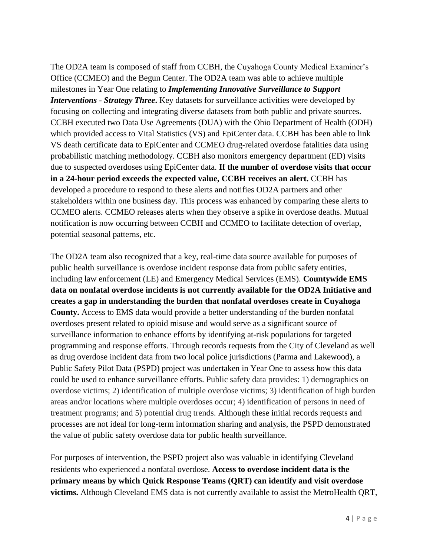The OD2A team is composed of staff from CCBH, the Cuyahoga County Medical Examiner's Office (CCMEO) and the Begun Center. The OD2A team was able to achieve multiple milestones in Year One relating to *Implementing Innovative Surveillance to Support Interventions* - *Strategy Three***.** Key datasets for surveillance activities were developed by focusing on collecting and integrating diverse datasets from both public and private sources. CCBH executed two Data Use Agreements (DUA) with the Ohio Department of Health (ODH) which provided access to Vital Statistics (VS) and EpiCenter data. CCBH has been able to link VS death certificate data to EpiCenter and CCMEO drug-related overdose fatalities data using probabilistic matching methodology. CCBH also monitors emergency department (ED) visits due to suspected overdoses using EpiCenter data. **If the number of overdose visits that occur in a 24-hour period exceeds the expected value, CCBH receives an alert.** CCBH has developed a procedure to respond to these alerts and notifies OD2A partners and other stakeholders within one business day. This process was enhanced by comparing these alerts to CCMEO alerts. CCMEO releases alerts when they observe a spike in overdose deaths. Mutual notification is now occurring between CCBH and CCMEO to facilitate detection of overlap, potential seasonal patterns, etc.

The OD2A team also recognized that a key, real-time data source available for purposes of public health surveillance is overdose incident response data from public safety entities, including law enforcement (LE) and Emergency Medical Services (EMS). **Countywide EMS data on nonfatal overdose incidents is not currently available for the OD2A Initiative and creates a gap in understanding the burden that nonfatal overdoses create in Cuyahoga County.** Access to EMS data would provide a better understanding of the burden nonfatal overdoses present related to opioid misuse and would serve as a significant source of surveillance information to enhance efforts by identifying at-risk populations for targeted programming and response efforts. Through records requests from the City of Cleveland as well as drug overdose incident data from two local police jurisdictions (Parma and Lakewood), a Public Safety Pilot Data (PSPD) project was undertaken in Year One to assess how this data could be used to enhance surveillance efforts. Public safety data provides: 1) demographics on overdose victims; 2) identification of multiple overdose victims; 3) identification of high burden areas and/or locations where multiple overdoses occur; 4) identification of persons in need of treatment programs; and 5) potential drug trends. Although these initial records requests and processes are not ideal for long-term information sharing and analysis, the PSPD demonstrated the value of public safety overdose data for public health surveillance.

For purposes of intervention, the PSPD project also was valuable in identifying Cleveland residents who experienced a nonfatal overdose. **Access to overdose incident data is the primary means by which Quick Response Teams (QRT) can identify and visit overdose victims.** Although Cleveland EMS data is not currently available to assist the MetroHealth QRT,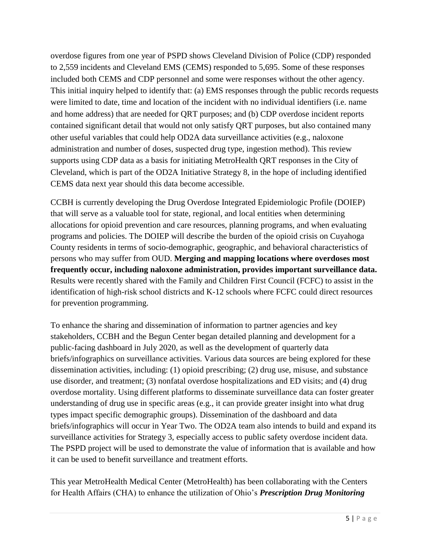overdose figures from one year of PSPD shows Cleveland Division of Police (CDP) responded to 2,559 incidents and Cleveland EMS (CEMS) responded to 5,695. Some of these responses included both CEMS and CDP personnel and some were responses without the other agency. This initial inquiry helped to identify that: (a) EMS responses through the public records requests were limited to date, time and location of the incident with no individual identifiers (i.e. name and home address) that are needed for QRT purposes; and (b) CDP overdose incident reports contained significant detail that would not only satisfy QRT purposes, but also contained many other useful variables that could help OD2A data surveillance activities (e.g., naloxone administration and number of doses, suspected drug type, ingestion method). This review supports using CDP data as a basis for initiating MetroHealth QRT responses in the City of Cleveland, which is part of the OD2A Initiative Strategy 8, in the hope of including identified CEMS data next year should this data become accessible.

CCBH is currently developing the Drug Overdose Integrated Epidemiologic Profile (DOIEP) that will serve as a valuable tool for state, regional, and local entities when determining allocations for opioid prevention and care resources, planning programs, and when evaluating programs and policies. The DOIEP will describe the burden of the opioid crisis on Cuyahoga County residents in terms of socio-demographic, geographic, and behavioral characteristics of persons who may suffer from OUD. **Merging and mapping locations where overdoses most frequently occur, including naloxone administration, provides important surveillance data.** Results were recently shared with the Family and Children First Council (FCFC) to assist in the identification of high-risk school districts and K-12 schools where FCFC could direct resources for prevention programming.

To enhance the sharing and dissemination of information to partner agencies and key stakeholders, CCBH and the Begun Center began detailed planning and development for a public-facing dashboard in July 2020, as well as the development of quarterly data briefs/infographics on surveillance activities. Various data sources are being explored for these dissemination activities, including: (1) opioid prescribing; (2) drug use, misuse, and substance use disorder, and treatment; (3) nonfatal overdose hospitalizations and ED visits; and (4) drug overdose mortality. Using different platforms to disseminate surveillance data can foster greater understanding of drug use in specific areas (e.g., it can provide greater insight into what drug types impact specific demographic groups). Dissemination of the dashboard and data briefs/infographics will occur in Year Two. The OD2A team also intends to build and expand its surveillance activities for Strategy 3, especially access to public safety overdose incident data. The PSPD project will be used to demonstrate the value of information that is available and how it can be used to benefit surveillance and treatment efforts.

This year MetroHealth Medical Center (MetroHealth) has been collaborating with the Centers for Health Affairs (CHA) to enhance the utilization of Ohio's *Prescription Drug Monitoring*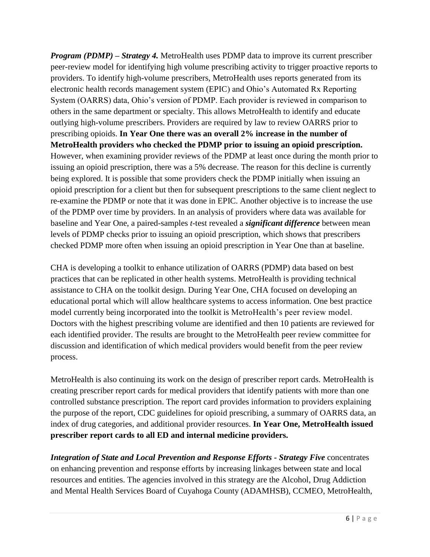*Program (PDMP)* – *Strategy 4.* MetroHealth uses PDMP data to improve its current prescriber peer-review model for identifying high volume prescribing activity to trigger proactive reports to providers. To identify high-volume prescribers, MetroHealth uses reports generated from its electronic health records management system (EPIC) and Ohio's Automated Rx Reporting System (OARRS) data, Ohio's version of PDMP. Each provider is reviewed in comparison to others in the same department or specialty. This allows MetroHealth to identify and educate outlying high-volume prescribers. Providers are required by law to review OARRS prior to prescribing opioids. **In Year One there was an overall 2% increase in the number of MetroHealth providers who checked the PDMP prior to issuing an opioid prescription.**  However, when examining provider reviews of the PDMP at least once during the month prior to issuing an opioid prescription, there was a 5% decrease. The reason for this decline is currently being explored. It is possible that some providers check the PDMP initially when issuing an opioid prescription for a client but then for subsequent prescriptions to the same client neglect to re-examine the PDMP or note that it was done in EPIC. Another objective is to increase the use of the PDMP over time by providers. In an analysis of providers where data was available for baseline and Year One, a paired-samples *t*-test revealed a *significant difference* between mean levels of PDMP checks prior to issuing an opioid prescription, which shows that prescribers checked PDMP more often when issuing an opioid prescription in Year One than at baseline.

CHA is developing a toolkit to enhance utilization of OARRS (PDMP) data based on best practices that can be replicated in other health systems. MetroHealth is providing technical assistance to CHA on the toolkit design. During Year One, CHA focused on developing an educational portal which will allow healthcare systems to access information. One best practice model currently being incorporated into the toolkit is MetroHealth's peer review model. Doctors with the highest prescribing volume are identified and then 10 patients are reviewed for each identified provider. The results are brought to the MetroHealth peer review committee for discussion and identification of which medical providers would benefit from the peer review process.

MetroHealth is also continuing its work on the design of prescriber report cards. MetroHealth is creating prescriber report cards for medical providers that identify patients with more than one controlled substance prescription. The report card provides information to providers explaining the purpose of the report, CDC guidelines for opioid prescribing, a summary of OARRS data, an index of drug categories, and additional provider resources. **In Year One, MetroHealth issued prescriber report cards to all ED and internal medicine providers.**

*Integration of State and Local Prevention and Response Efforts - Strategy Five* concentrates on enhancing prevention and response efforts by increasing linkages between state and local resources and entities. The agencies involved in this strategy are the Alcohol, Drug Addiction and Mental Health Services Board of Cuyahoga County (ADAMHSB), CCMEO, MetroHealth,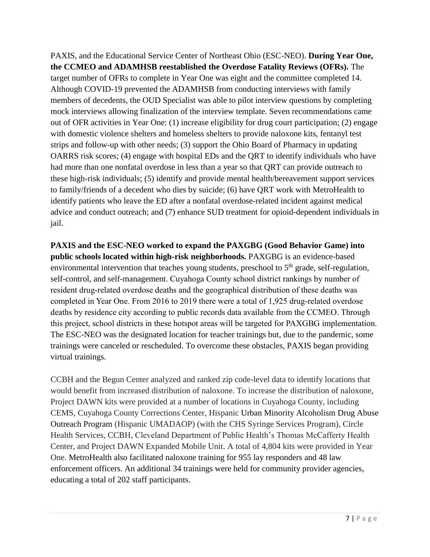PAXIS, and the Educational Service Center of Northeast Ohio (ESC-NEO). **During Year One, the CCMEO and ADAMHSB reestablished the Overdose Fatality Reviews (OFRs).** The target number of OFRs to complete in Year One was eight and the committee completed 14. Although COVID-19 prevented the ADAMHSB from conducting interviews with family members of decedents, the OUD Specialist was able to pilot interview questions by completing mock interviews allowing finalization of the interview template. Seven recommendations came out of OFR activities in Year One: (1) increase eligibility for drug court participation; (2) engage with domestic violence shelters and homeless shelters to provide naloxone kits, fentanyl test strips and follow-up with other needs; (3) support the Ohio Board of Pharmacy in updating OARRS risk scores; (4) engage with hospital EDs and the QRT to identify individuals who have had more than one nonfatal overdose in less than a year so that QRT can provide outreach to these high-risk individuals; (5) identify and provide mental health/bereavement support services to family/friends of a decedent who dies by suicide; (6) have QRT work with MetroHealth to identify patients who leave the ED after a nonfatal overdose-related incident against medical advice and conduct outreach; and (7) enhance SUD treatment for opioid-dependent individuals in jail.

**PAXIS and the ESC-NEO worked to expand the PAXGBG (Good Behavior Game) into public schools located within high-risk neighborhoods.** PAXGBG is an evidence-based environmental intervention that teaches young students, preschool to  $5<sup>th</sup>$  grade, self-regulation, self-control, and self-management. Cuyahoga County school district rankings by number of resident drug-related overdose deaths and the geographical distribution of these deaths was completed in Year One. From 2016 to 2019 there were a total of 1,925 drug-related overdose deaths by residence city according to public records data available from the CCMEO. Through this project, school districts in these hotspot areas will be targeted for PAXGBG implementation. The ESC-NEO was the designated location for teacher trainings but, due to the pandemic, some trainings were canceled or rescheduled. To overcome these obstacles, PAXIS began providing virtual trainings.

CCBH and the Begun Center analyzed and ranked zip code-level data to identify locations that would benefit from increased distribution of naloxone. To increase the distribution of naloxone, Project DAWN kits were provided at a number of locations in Cuyahoga County, including CEMS, Cuyahoga County Corrections Center, Hispanic Urban Minority Alcoholism Drug Abuse Outreach Program (Hispanic UMADAOP) (with the CHS Syringe Services Program), Circle Health Services, CCBH, Cleveland Department of Public Health's Thomas McCafferty Health Center, and Project DAWN Expanded Mobile Unit. A total of 4,804 kits were provided in Year One. MetroHealth also facilitated naloxone training for 955 lay responders and 48 law enforcement officers. An additional 34 trainings were held for community provider agencies, educating a total of 202 staff participants.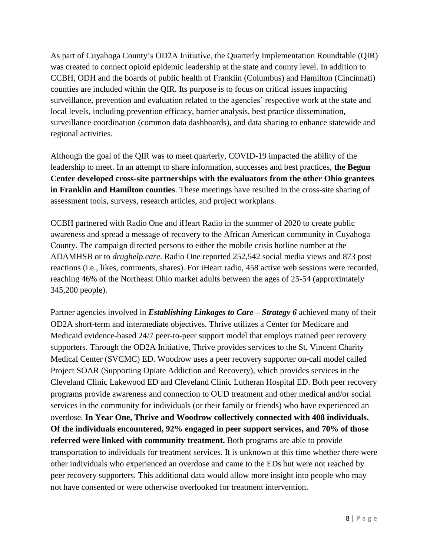As part of Cuyahoga County's OD2A Initiative, the Quarterly Implementation Roundtable (QIR) was created to connect opioid epidemic leadership at the state and county level. In addition to CCBH, ODH and the boards of public health of Franklin (Columbus) and Hamilton (Cincinnati) counties are included within the QIR. Its purpose is to focus on critical issues impacting surveillance, prevention and evaluation related to the agencies' respective work at the state and local levels, including prevention efficacy, barrier analysis, best practice dissemination, surveillance coordination (common data dashboards), and data sharing to enhance statewide and regional activities.

Although the goal of the QIR was to meet quarterly, COVID-19 impacted the ability of the leadership to meet. In an attempt to share information, successes and best practices, **the Begun Center developed cross-site partnerships with the evaluators from the other Ohio grantees in Franklin and Hamilton counties**. These meetings have resulted in the cross-site sharing of assessment tools, surveys, research articles, and project workplans.

CCBH partnered with Radio One and iHeart Radio in the summer of 2020 to create public awareness and spread a message of recovery to the African American community in Cuyahoga County. The campaign directed persons to either the mobile crisis hotline number at the ADAMHSB or to *drughelp.care*. Radio One reported 252,542 social media views and 873 post reactions (i.e., likes, comments, shares). For iHeart radio, 458 active web sessions were recorded, reaching 46% of the Northeast Ohio market adults between the ages of 25-54 (approximately 345,200 people).

Partner agencies involved in *Establishing Linkages to Care – Strategy 6* achieved many of their OD2A short-term and intermediate objectives. Thrive utilizes a Center for Medicare and Medicaid evidence-based 24/7 peer-to-peer support model that employs trained peer recovery supporters. Through the OD2A Initiative, Thrive provides services to the St. Vincent Charity Medical Center (SVCMC) ED. Woodrow uses a peer recovery supporter on-call model called Project SOAR (Supporting Opiate Addiction and Recovery), which provides services in the Cleveland Clinic Lakewood ED and Cleveland Clinic Lutheran Hospital ED. Both peer recovery programs provide awareness and connection to OUD treatment and other medical and/or social services in the community for individuals (or their family or friends) who have experienced an overdose. **In Year One, Thrive and Woodrow collectively connected with 408 individuals. Of the individuals encountered, 92% engaged in peer support services, and 70% of those referred were linked with community treatment.** Both programs are able to provide transportation to individuals for treatment services. It is unknown at this time whether there were other individuals who experienced an overdose and came to the EDs but were not reached by peer recovery supporters. This additional data would allow more insight into people who may not have consented or were otherwise overlooked for treatment intervention.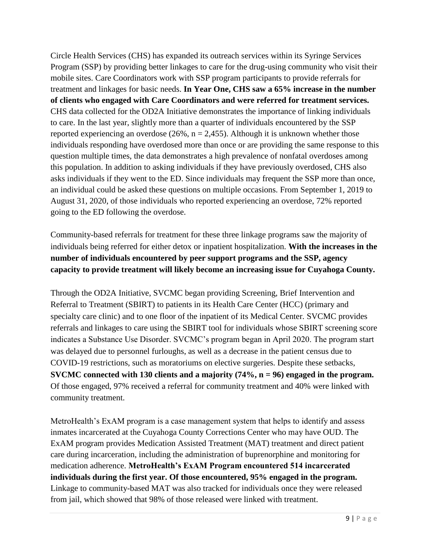Circle Health Services (CHS) has expanded its outreach services within its Syringe Services Program (SSP) by providing better linkages to care for the drug-using community who visit their mobile sites. Care Coordinators work with SSP program participants to provide referrals for treatment and linkages for basic needs. **In Year One, CHS saw a 65% increase in the number of clients who engaged with Care Coordinators and were referred for treatment services.** CHS data collected for the OD2A Initiative demonstrates the importance of linking individuals to care. In the last year, slightly more than a quarter of individuals encountered by the SSP reported experiencing an overdose (26%,  $n = 2,455$ ). Although it is unknown whether those individuals responding have overdosed more than once or are providing the same response to this question multiple times, the data demonstrates a high prevalence of nonfatal overdoses among this population. In addition to asking individuals if they have previously overdosed, CHS also asks individuals if they went to the ED. Since individuals may frequent the SSP more than once, an individual could be asked these questions on multiple occasions. From September 1, 2019 to August 31, 2020, of those individuals who reported experiencing an overdose, 72% reported going to the ED following the overdose.

Community-based referrals for treatment for these three linkage programs saw the majority of individuals being referred for either detox or inpatient hospitalization. **With the increases in the number of individuals encountered by peer support programs and the SSP, agency capacity to provide treatment will likely become an increasing issue for Cuyahoga County.**

Through the OD2A Initiative, SVCMC began providing Screening, Brief Intervention and Referral to Treatment (SBIRT) to patients in its Health Care Center (HCC) (primary and specialty care clinic) and to one floor of the inpatient of its Medical Center. SVCMC provides referrals and linkages to care using the SBIRT tool for individuals whose SBIRT screening score indicates a Substance Use Disorder. SVCMC's program began in April 2020. The program start was delayed due to personnel furloughs, as well as a decrease in the patient census due to COVID-19 restrictions, such as moratoriums on elective surgeries. Despite these setbacks, **SVCMC connected with 130 clients and a majority (74%, n = 96) engaged in the program.**  Of those engaged, 97% received a referral for community treatment and 40% were linked with community treatment.

MetroHealth's ExAM program is a case management system that helps to identify and assess inmates incarcerated at the Cuyahoga County Corrections Center who may have OUD. The ExAM program provides Medication Assisted Treatment (MAT) treatment and direct patient care during incarceration, including the administration of buprenorphine and monitoring for medication adherence. **MetroHealth's ExAM Program encountered 514 incarcerated individuals during the first year. Of those encountered, 95% engaged in the program.** Linkage to community-based MAT was also tracked for individuals once they were released from jail, which showed that 98% of those released were linked with treatment.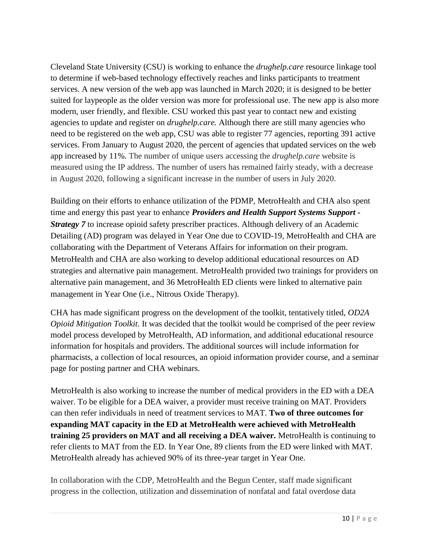Cleveland State University (CSU) is working to enhance the *drughelp.care* resource linkage tool to determine if web-based technology effectively reaches and links participants to treatment services. A new version of the web app was launched in March 2020; it is designed to be better suited for laypeople as the older version was more for professional use. The new app is also more modern, user friendly, and flexible. CSU worked this past year to contact new and existing agencies to update and register on *drughelp.care.* Although there are still many agencies who need to be registered on the web app, CSU was able to register 77 agencies, reporting 391 active services. From January to August 2020, the percent of agencies that updated services on the web app increased by 11%. The number of unique users accessing the *drughelp.care* website is measured using the IP address. The number of users has remained fairly steady, with a decrease in August 2020, following a significant increase in the number of users in July 2020.

Building on their efforts to enhance utilization of the PDMP, MetroHealth and CHA also spent time and energy this past year to enhance *Providers and Health Support Systems Support - Strategy* 7 to increase opioid safety prescriber practices. Although delivery of an Academic Detailing (AD) program was delayed in Year One due to COVID-19, MetroHealth and CHA are collaborating with the Department of Veterans Affairs for information on their program. MetroHealth and CHA are also working to develop additional educational resources on AD strategies and alternative pain management. MetroHealth provided two trainings for providers on alternative pain management, and 36 MetroHealth ED clients were linked to alternative pain management in Year One (i.e., Nitrous Oxide Therapy).

CHA has made significant progress on the development of the toolkit, tentatively titled, *OD2A Opioid Mitigation Toolkit*. It was decided that the toolkit would be comprised of the peer review model process developed by MetroHealth, AD information, and additional educational resource information for hospitals and providers. The additional sources will include information for pharmacists, a collection of local resources, an opioid information provider course, and a seminar page for posting partner and CHA webinars.

MetroHealth is also working to increase the number of medical providers in the ED with a DEA waiver. To be eligible for a DEA waiver, a provider must receive training on MAT. Providers can then refer individuals in need of treatment services to MAT. **Two of three outcomes for expanding MAT capacity in the ED at MetroHealth were achieved with MetroHealth training 25 providers on MAT and all receiving a DEA waiver.** MetroHealth is continuing to refer clients to MAT from the ED. In Year One, 89 clients from the ED were linked with MAT. MetroHealth already has achieved 90% of its three-year target in Year One.

In collaboration with the CDP, MetroHealth and the Begun Center, staff made significant progress in the collection, utilization and dissemination of nonfatal and fatal overdose data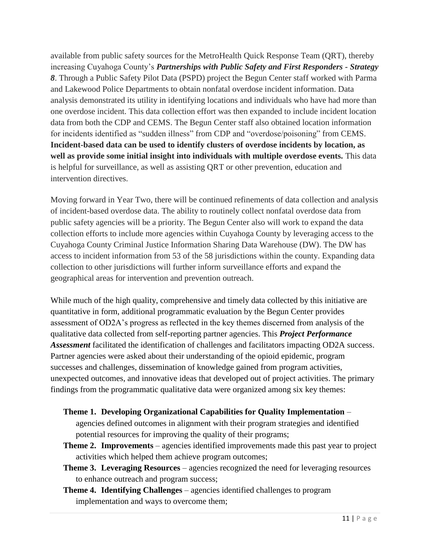available from public safety sources for the MetroHealth Quick Response Team (QRT), thereby increasing Cuyahoga County's *Partnerships with Public Safety and First Responders - Strategy 8*. Through a Public Safety Pilot Data (PSPD) project the Begun Center staff worked with Parma and Lakewood Police Departments to obtain nonfatal overdose incident information. Data analysis demonstrated its utility in identifying locations and individuals who have had more than one overdose incident. This data collection effort was then expanded to include incident location data from both the CDP and CEMS. The Begun Center staff also obtained location information for incidents identified as "sudden illness" from CDP and "overdose/poisoning" from CEMS. **Incident-based data can be used to identify clusters of overdose incidents by location, as well as provide some initial insight into individuals with multiple overdose events.** This data is helpful for surveillance, as well as assisting QRT or other prevention, education and intervention directives.

Moving forward in Year Two, there will be continued refinements of data collection and analysis of incident-based overdose data. The ability to routinely collect nonfatal overdose data from public safety agencies will be a priority. The Begun Center also will work to expand the data collection efforts to include more agencies within Cuyahoga County by leveraging access to the Cuyahoga County Criminal Justice Information Sharing Data Warehouse (DW). The DW has access to incident information from 53 of the 58 jurisdictions within the county. Expanding data collection to other jurisdictions will further inform surveillance efforts and expand the geographical areas for intervention and prevention outreach.

While much of the high quality, comprehensive and timely data collected by this initiative are quantitative in form, additional programmatic evaluation by the Begun Center provides assessment of OD2A's progress as reflected in the key themes discerned from analysis of the qualitative data collected from self-reporting partner agencies. This *Project Performance Assessment* facilitated the identification of challenges and facilitators impacting OD2A success. Partner agencies were asked about their understanding of the opioid epidemic, program successes and challenges, dissemination of knowledge gained from program activities, unexpected outcomes, and innovative ideas that developed out of project activities. The primary findings from the programmatic qualitative data were organized among six key themes:

### **Theme 1. Developing Organizational Capabilities for Quality Implementation** –

agencies defined outcomes in alignment with their program strategies and identified potential resources for improving the quality of their programs;

- **Theme 2. Improvements** agencies identified improvements made this past year to project activities which helped them achieve program outcomes;
- **Theme 3. Leveraging Resources** agencies recognized the need for leveraging resources to enhance outreach and program success;
- **Theme 4. Identifying Challenges** agencies identified challenges to program implementation and ways to overcome them;